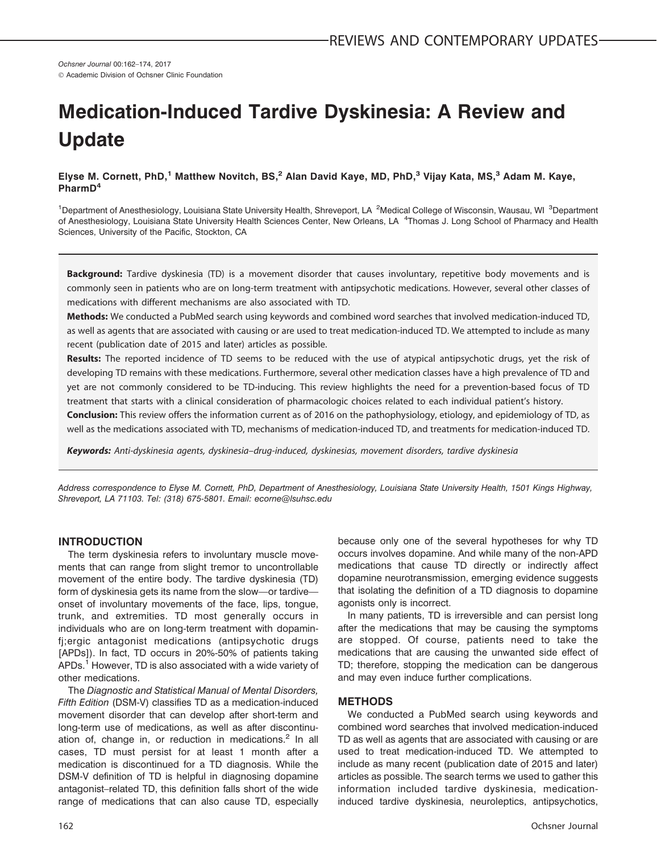Ochsner Journal 00:162–174, 2017 © Academic Division of Ochsner Clinic Foundation

# Medication-Induced Tardive Dyskinesia: A Review and Update

Elyse M. Cornett, PhD,<sup>1</sup> Matthew Novitch, BS,<sup>2</sup> Alan David Kaye, MD, PhD,<sup>3</sup> Vijay Kata, MS,<sup>3</sup> Adam M. Kaye, PharmD<sup>4</sup>

<sup>1</sup>Department of Anesthesiology, Louisiana State University Health, Shreveport, LA <sup>2</sup>Medical College of Wisconsin, Wausau, WI <sup>3</sup>Department of Anesthesiology, Louisiana State University Health Sciences Center, New Orleans, LA <sup>4</sup>Thomas J. Long School of Pharmacy and Health Sciences, University of the Pacific, Stockton, CA

Background: Tardive dyskinesia (TD) is a movement disorder that causes involuntary, repetitive body movements and is commonly seen in patients who are on long-term treatment with antipsychotic medications. However, several other classes of medications with different mechanisms are also associated with TD.

Methods: We conducted a PubMed search using keywords and combined word searches that involved medication-induced TD, as well as agents that are associated with causing or are used to treat medication-induced TD. We attempted to include as many recent (publication date of 2015 and later) articles as possible.

Results: The reported incidence of TD seems to be reduced with the use of atypical antipsychotic drugs, yet the risk of developing TD remains with these medications. Furthermore, several other medication classes have a high prevalence of TD and yet are not commonly considered to be TD-inducing. This review highlights the need for a prevention-based focus of TD treatment that starts with a clinical consideration of pharmacologic choices related to each individual patient's history.

Conclusion: This review offers the information current as of 2016 on the pathophysiology, etiology, and epidemiology of TD, as well as the medications associated with TD, mechanisms of medication-induced TD, and treatments for medication-induced TD.

Keywords: Anti-dyskinesia agents, dyskinesia–drug-induced, dyskinesias, movement disorders, tardive dyskinesia

Address correspondence to Elyse M. Cornett, PhD, Department of Anesthesiology, Louisiana State University Health, 1501 Kings Highway, Shreveport, LA 71103. Tel: (318) 675-5801. Email: ecorne@lsuhsc.edu

## INTRODUCTION

The term dyskinesia refers to involuntary muscle movements that can range from slight tremor to uncontrollable movement of the entire body. The tardive dyskinesia (TD) form of dyskinesia gets its name from the slow—or tardive onset of involuntary movements of the face, lips, tongue, trunk, and extremities. TD most generally occurs in individuals who are on long-term treatment with dopaminfj;ergic antagonist medications (antipsychotic drugs [APDs]). In fact, TD occurs in 20%-50% of patients taking APDs.<sup>1</sup> However, TD is also associated with a wide variety of other medications.

The Diagnostic and Statistical Manual of Mental Disorders, Fifth Edition (DSM-V) classifies TD as a medication-induced movement disorder that can develop after short-term and long-term use of medications, as well as after discontinuation of, change in, or reduction in medications. $<sup>2</sup>$  In all</sup> cases, TD must persist for at least 1 month after a medication is discontinued for a TD diagnosis. While the DSM-V definition of TD is helpful in diagnosing dopamine antagonist–related TD, this definition falls short of the wide range of medications that can also cause TD, especially because only one of the several hypotheses for why TD occurs involves dopamine. And while many of the non-APD medications that cause TD directly or indirectly affect dopamine neurotransmission, emerging evidence suggests that isolating the definition of a TD diagnosis to dopamine agonists only is incorrect.

In many patients, TD is irreversible and can persist long after the medications that may be causing the symptoms are stopped. Of course, patients need to take the medications that are causing the unwanted side effect of TD; therefore, stopping the medication can be dangerous and may even induce further complications.

## **METHODS**

We conducted a PubMed search using keywords and combined word searches that involved medication-induced TD as well as agents that are associated with causing or are used to treat medication-induced TD. We attempted to include as many recent (publication date of 2015 and later) articles as possible. The search terms we used to gather this information included tardive dyskinesia, medicationinduced tardive dyskinesia, neuroleptics, antipsychotics,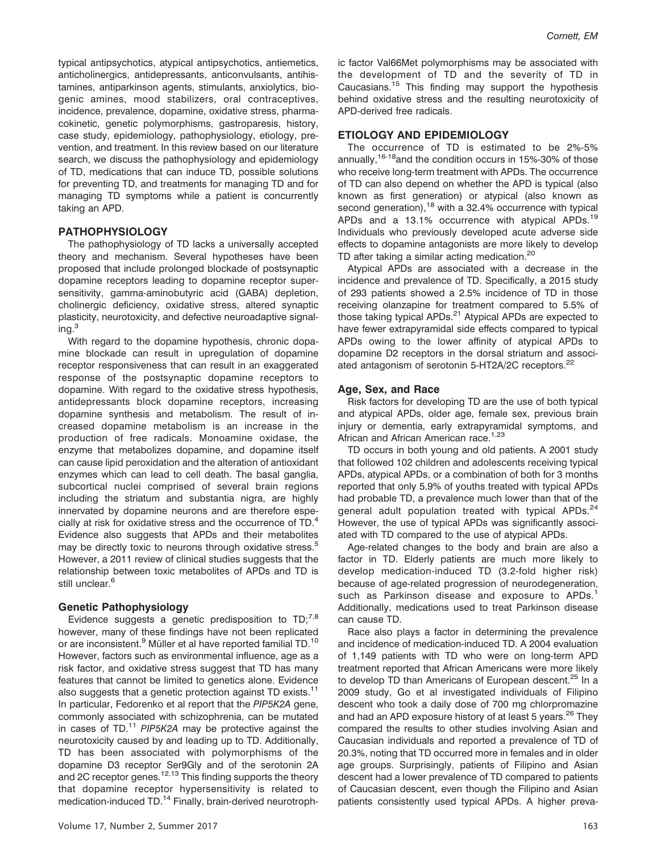typical antipsychotics, atypical antipsychotics, antiemetics, anticholinergics, antidepressants, anticonvulsants, antihistamines, antiparkinson agents, stimulants, anxiolytics, biogenic amines, mood stabilizers, oral contraceptives, incidence, prevalence, dopamine, oxidative stress, pharmacokinetic, genetic polymorphisms, gastroparesis, history, case study, epidemiology, pathophysiology, etiology, prevention, and treatment. In this review based on our literature search, we discuss the pathophysiology and epidemiology of TD, medications that can induce TD, possible solutions for preventing TD, and treatments for managing TD and for managing TD symptoms while a patient is concurrently taking an APD.

## PATHOPHYSIOLOGY

The pathophysiology of TD lacks a universally accepted theory and mechanism. Several hypotheses have been proposed that include prolonged blockade of postsynaptic dopamine receptors leading to dopamine receptor supersensitivity, gamma-aminobutyric acid (GABA) depletion, cholinergic deficiency, oxidative stress, altered synaptic plasticity, neurotoxicity, and defective neuroadaptive signal $ing.<sup>3</sup>$ 

With regard to the dopamine hypothesis, chronic dopamine blockade can result in upregulation of dopamine receptor responsiveness that can result in an exaggerated response of the postsynaptic dopamine receptors to dopamine. With regard to the oxidative stress hypothesis, antidepressants block dopamine receptors, increasing dopamine synthesis and metabolism. The result of increased dopamine metabolism is an increase in the production of free radicals. Monoamine oxidase, the enzyme that metabolizes dopamine, and dopamine itself can cause lipid peroxidation and the alteration of antioxidant enzymes which can lead to cell death. The basal ganglia, subcortical nuclei comprised of several brain regions including the striatum and substantia nigra, are highly innervated by dopamine neurons and are therefore especially at risk for oxidative stress and the occurrence of TD.<sup>4</sup> Evidence also suggests that APDs and their metabolites may be directly toxic to neurons through oxidative stress.<sup>5</sup> However, a 2011 review of clinical studies suggests that the relationship between toxic metabolites of APDs and TD is still unclear.<sup>6</sup>

#### Genetic Pathophysiology

Evidence suggests a genetic predisposition to  $TD_i^{7,8}$ however, many of these findings have not been replicated or are inconsistent.<sup>9</sup> Müller et al have reported familial TD.<sup>10</sup> However, factors such as environmental influence, age as a risk factor, and oxidative stress suggest that TD has many features that cannot be limited to genetics alone. Evidence also suggests that a genetic protection against TD exists.<sup>11</sup> In particular, Fedorenko et al report that the PIP5K2A gene, commonly associated with schizophrenia, can be mutated in cases of TD. $11$  PIP5K2A may be protective against the neurotoxicity caused by and leading up to TD. Additionally, TD has been associated with polymorphisms of the dopamine D3 receptor Ser9Gly and of the serotonin 2A and 2C receptor genes.<sup>12,13</sup> This finding supports the theory that dopamine receptor hypersensitivity is related to medication-induced TD.<sup>14</sup> Finally, brain-derived neurotrophic factor Val66Met polymorphisms may be associated with the development of TD and the severity of TD in Caucasians.<sup>15</sup> This finding may support the hypothesis behind oxidative stress and the resulting neurotoxicity of APD-derived free radicals.

## ETIOLOGY AND EPIDEMIOLOGY

The occurrence of TD is estimated to be 2%-5% annually,  $16-18$  and the condition occurs in 15%-30% of those who receive long-term treatment with APDs. The occurrence of TD can also depend on whether the APD is typical (also known as first generation) or atypical (also known as second generation),<sup>18</sup> with a 32.4% occurrence with typical APDs and a 13.1% occurrence with atypical APDs.<sup>19</sup> Individuals who previously developed acute adverse side effects to dopamine antagonists are more likely to develop TD after taking a similar acting medication.<sup>20</sup>

Atypical APDs are associated with a decrease in the incidence and prevalence of TD. Specifically, a 2015 study of 293 patients showed a 2.5% incidence of TD in those receiving olanzapine for treatment compared to 5.5% of those taking typical APDs.<sup>21</sup> Atypical APDs are expected to have fewer extrapyramidal side effects compared to typical APDs owing to the lower affinity of atypical APDs to dopamine D2 receptors in the dorsal striatum and associated antagonism of serotonin 5-HT2A/2C receptors.<sup>22</sup>

#### Age, Sex, and Race

Risk factors for developing TD are the use of both typical and atypical APDs, older age, female sex, previous brain injury or dementia, early extrapyramidal symptoms, and African and African American race.<sup>1,23</sup>

TD occurs in both young and old patients. A 2001 study that followed 102 children and adolescents receiving typical APDs, atypical APDs, or a combination of both for 3 months reported that only 5.9% of youths treated with typical APDs had probable TD, a prevalence much lower than that of the general adult population treated with typical APDs.<sup>24</sup> However, the use of typical APDs was significantly associated with TD compared to the use of atypical APDs.

Age-related changes to the body and brain are also a factor in TD. Elderly patients are much more likely to develop medication-induced TD (3.2-fold higher risk) because of age-related progression of neurodegeneration, such as Parkinson disease and exposure to APDs.<sup>1</sup> Additionally, medications used to treat Parkinson disease can cause TD.

Race also plays a factor in determining the prevalence and incidence of medication-induced TD. A 2004 evaluation of 1,149 patients with TD who were on long-term APD treatment reported that African Americans were more likely to develop TD than Americans of European descent.<sup>25</sup> In a 2009 study, Go et al investigated individuals of Filipino descent who took a daily dose of 700 mg chlorpromazine and had an APD exposure history of at least 5 years.<sup>26</sup> They compared the results to other studies involving Asian and Caucasian individuals and reported a prevalence of TD of 20.3%, noting that TD occurred more in females and in older age groups. Surprisingly, patients of Filipino and Asian descent had a lower prevalence of TD compared to patients of Caucasian descent, even though the Filipino and Asian patients consistently used typical APDs. A higher preva-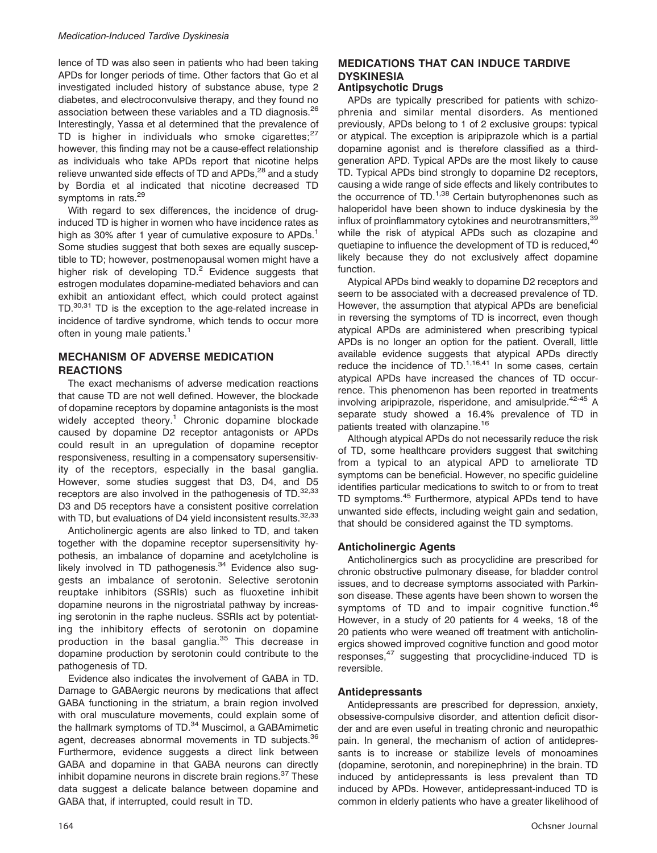lence of TD was also seen in patients who had been taking APDs for longer periods of time. Other factors that Go et al investigated included history of substance abuse, type 2 diabetes, and electroconvulsive therapy, and they found no association between these variables and a TD diagnosis.<sup>26</sup> Interestingly, Yassa et al determined that the prevalence of TD is higher in individuals who smoke cigarettes; $27$ however, this finding may not be a cause-effect relationship as individuals who take APDs report that nicotine helps relieve unwanted side effects of TD and APDs,<sup>28</sup> and a study by Bordia et al indicated that nicotine decreased TD symptoms in rats.<sup>29</sup>

With regard to sex differences, the incidence of druginduced TD is higher in women who have incidence rates as high as 30% after 1 year of cumulative exposure to APDs.<sup>1</sup> Some studies suggest that both sexes are equally susceptible to TD; however, postmenopausal women might have a higher risk of developing  $TD.<sup>2</sup>$  Evidence suggests that estrogen modulates dopamine-mediated behaviors and can exhibit an antioxidant effect, which could protect against TD.<sup>30,31</sup> TD is the exception to the age-related increase in incidence of tardive syndrome, which tends to occur more often in young male patients.<sup>1</sup>

## MECHANISM OF ADVERSE MEDICATION **REACTIONS**

The exact mechanisms of adverse medication reactions that cause TD are not well defined. However, the blockade of dopamine receptors by dopamine antagonists is the most widely accepted theory.<sup>1</sup> Chronic dopamine blockade caused by dopamine D2 receptor antagonists or APDs could result in an upregulation of dopamine receptor responsiveness, resulting in a compensatory supersensitivity of the receptors, especially in the basal ganglia. However, some studies suggest that D3, D4, and D5 receptors are also involved in the pathogenesis of TD.<sup>32,33</sup> D3 and D5 receptors have a consistent positive correlation with TD, but evaluations of D4 yield inconsistent results.<sup>32,33</sup>

Anticholinergic agents are also linked to TD, and taken together with the dopamine receptor supersensitivity hypothesis, an imbalance of dopamine and acetylcholine is likely involved in TD pathogenesis.<sup>34</sup> Evidence also suggests an imbalance of serotonin. Selective serotonin reuptake inhibitors (SSRIs) such as fluoxetine inhibit dopamine neurons in the nigrostriatal pathway by increasing serotonin in the raphe nucleus. SSRIs act by potentiating the inhibitory effects of serotonin on dopamine production in the basal ganglia.<sup>35</sup> This decrease in dopamine production by serotonin could contribute to the pathogenesis of TD.

Evidence also indicates the involvement of GABA in TD. Damage to GABAergic neurons by medications that affect GABA functioning in the striatum, a brain region involved with oral musculature movements, could explain some of the hallmark symptoms of TD.<sup>34</sup> Muscimol, a GABAmimetic agent, decreases abnormal movements in TD subjects.<sup>36</sup> Furthermore, evidence suggests a direct link between GABA and dopamine in that GABA neurons can directly inhibit dopamine neurons in discrete brain regions. $37$  These data suggest a delicate balance between dopamine and GABA that, if interrupted, could result in TD.

## MEDICATIONS THAT CAN INDUCE TARDIVE **DYSKINESIA**

## Antipsychotic Drugs

APDs are typically prescribed for patients with schizophrenia and similar mental disorders. As mentioned previously, APDs belong to 1 of 2 exclusive groups: typical or atypical. The exception is aripiprazole which is a partial dopamine agonist and is therefore classified as a thirdgeneration APD. Typical APDs are the most likely to cause TD. Typical APDs bind strongly to dopamine D2 receptors, causing a wide range of side effects and likely contributes to the occurrence of TD. $1,38$  Certain butyrophenones such as haloperidol have been shown to induce dyskinesia by the influx of proinflammatory cytokines and neurotransmitters, 39 while the risk of atypical APDs such as clozapine and quetiapine to influence the development of TD is reduced,<sup>40</sup> likely because they do not exclusively affect dopamine function.

Atypical APDs bind weakly to dopamine D2 receptors and seem to be associated with a decreased prevalence of TD. However, the assumption that atypical APDs are beneficial in reversing the symptoms of TD is incorrect, even though atypical APDs are administered when prescribing typical APDs is no longer an option for the patient. Overall, little available evidence suggests that atypical APDs directly reduce the incidence of TD. $1,16,41$  In some cases, certain atypical APDs have increased the chances of TD occurrence. This phenomenon has been reported in treatments involving aripiprazole, risperidone, and amisulpride.<sup>42-45</sup> A separate study showed a 16.4% prevalence of TD in patients treated with olanzapine.<sup>16</sup>

Although atypical APDs do not necessarily reduce the risk of TD, some healthcare providers suggest that switching from a typical to an atypical APD to ameliorate TD symptoms can be beneficial. However, no specific guideline identifies particular medications to switch to or from to treat TD symptoms.<sup>45</sup> Furthermore, atypical APDs tend to have unwanted side effects, including weight gain and sedation, that should be considered against the TD symptoms.

## Anticholinergic Agents

Anticholinergics such as procyclidine are prescribed for chronic obstructive pulmonary disease, for bladder control issues, and to decrease symptoms associated with Parkinson disease. These agents have been shown to worsen the symptoms of TD and to impair cognitive function.<sup>46</sup> However, in a study of 20 patients for 4 weeks, 18 of the 20 patients who were weaned off treatment with anticholinergics showed improved cognitive function and good motor responses,<sup>47</sup> suggesting that procyclidine-induced TD is reversible.

## Antidepressants

Antidepressants are prescribed for depression, anxiety, obsessive-compulsive disorder, and attention deficit disorder and are even useful in treating chronic and neuropathic pain. In general, the mechanism of action of antidepressants is to increase or stabilize levels of monoamines (dopamine, serotonin, and norepinephrine) in the brain. TD induced by antidepressants is less prevalent than TD induced by APDs. However, antidepressant-induced TD is common in elderly patients who have a greater likelihood of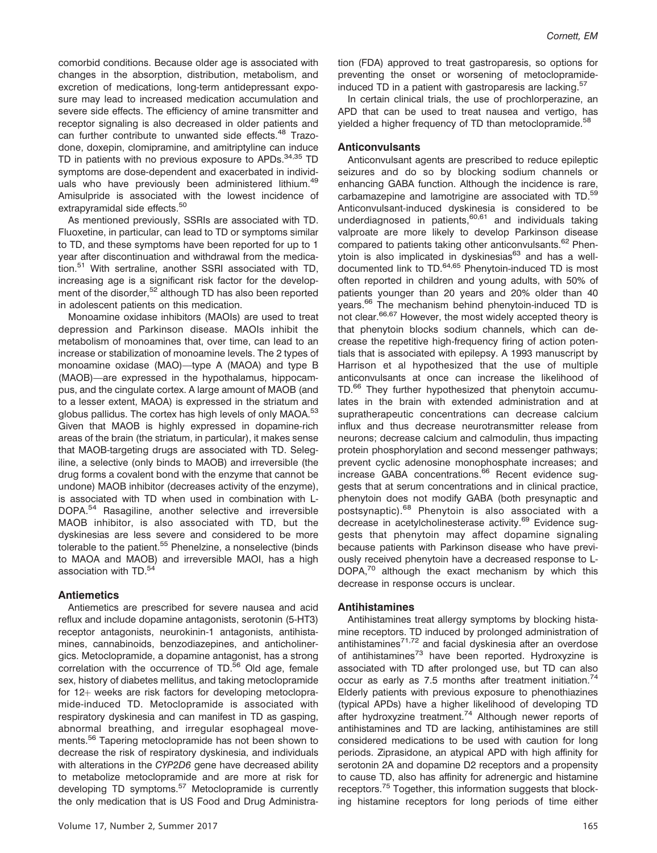comorbid conditions. Because older age is associated with changes in the absorption, distribution, metabolism, and excretion of medications, long-term antidepressant exposure may lead to increased medication accumulation and severe side effects. The efficiency of amine transmitter and receptor signaling is also decreased in older patients and can further contribute to unwanted side effects.<sup>48</sup> Trazodone, doxepin, clomipramine, and amitriptyline can induce TD in patients with no previous exposure to  $APDs$ <sup>34,35</sup> TD symptoms are dose-dependent and exacerbated in individuals who have previously been administered lithium.<sup>49</sup> Amisulpride is associated with the lowest incidence of extrapyramidal side effects.<sup>50</sup>

As mentioned previously, SSRIs are associated with TD. Fluoxetine, in particular, can lead to TD or symptoms similar to TD, and these symptoms have been reported for up to 1 year after discontinuation and withdrawal from the medication.<sup>51</sup> With sertraline, another SSRI associated with TD, increasing age is a significant risk factor for the development of the disorder,<sup>52</sup> although TD has also been reported in adolescent patients on this medication.

Monoamine oxidase inhibitors (MAOIs) are used to treat depression and Parkinson disease. MAOIs inhibit the metabolism of monoamines that, over time, can lead to an increase or stabilization of monoamine levels. The 2 types of monoamine oxidase (MAO)—type A (MAOA) and type B (MAOB)—are expressed in the hypothalamus, hippocampus, and the cingulate cortex. A large amount of MAOB (and to a lesser extent, MAOA) is expressed in the striatum and globus pallidus. The cortex has high levels of only MAOA.<sup>53</sup> Given that MAOB is highly expressed in dopamine-rich areas of the brain (the striatum, in particular), it makes sense that MAOB-targeting drugs are associated with TD. Selegiline, a selective (only binds to MAOB) and irreversible (the drug forms a covalent bond with the enzyme that cannot be undone) MAOB inhibitor (decreases activity of the enzyme), is associated with TD when used in combination with L-DOPA.<sup>54</sup> Rasagiline, another selective and irreversible MAOB inhibitor, is also associated with TD, but the dyskinesias are less severe and considered to be more tolerable to the patient.<sup>55</sup> Phenelzine, a nonselective (binds to MAOA and MAOB) and irreversible MAOI, has a high association with TD.<sup>54</sup>

#### **Antiemetics**

Antiemetics are prescribed for severe nausea and acid reflux and include dopamine antagonists, serotonin (5-HT3) receptor antagonists, neurokinin-1 antagonists, antihistamines, cannabinoids, benzodiazepines, and anticholinergics. Metoclopramide, a dopamine antagonist, has a strong correlation with the occurrence of TD.<sup>56</sup> Old age, female sex, history of diabetes mellitus, and taking metoclopramide for  $12+$  weeks are risk factors for developing metoclopramide-induced TD. Metoclopramide is associated with respiratory dyskinesia and can manifest in TD as gasping, abnormal breathing, and irregular esophageal movements.<sup>56</sup> Tapering metoclopramide has not been shown to decrease the risk of respiratory dyskinesia, and individuals with alterations in the CYP2D6 gene have decreased ability to metabolize metoclopramide and are more at risk for developing TD symptoms.<sup>57</sup> Metoclopramide is currently the only medication that is US Food and Drug Administration (FDA) approved to treat gastroparesis, so options for preventing the onset or worsening of metoclopramideinduced TD in a patient with gastroparesis are lacking.<sup>57</sup>

In certain clinical trials, the use of prochlorperazine, an APD that can be used to treat nausea and vertigo, has yielded a higher frequency of TD than metoclopramide.<sup>58</sup>

#### Anticonvulsants

Anticonvulsant agents are prescribed to reduce epileptic seizures and do so by blocking sodium channels or enhancing GABA function. Although the incidence is rare, carbamazepine and lamotrigine are associated with TD.<sup>59</sup> Anticonvulsant-induced dyskinesia is considered to be underdiagnosed in patients, $60,61$  and individuals taking valproate are more likely to develop Parkinson disease compared to patients taking other anticonvulsants.<sup>62</sup> Phenytoin is also implicated in dyskinesias<sup>63</sup> and has a welldocumented link to TD.64,65 Phenytoin-induced TD is most often reported in children and young adults, with 50% of patients younger than 20 years and 20% older than 40 years.<sup>66</sup> The mechanism behind phenytoin-induced TD is not clear.<sup>66,67</sup> However, the most widely accepted theory is that phenytoin blocks sodium channels, which can decrease the repetitive high-frequency firing of action potentials that is associated with epilepsy. A 1993 manuscript by Harrison et al hypothesized that the use of multiple anticonvulsants at once can increase the likelihood of TD.<sup>66</sup> They further hypothesized that phenytoin accumulates in the brain with extended administration and at supratherapeutic concentrations can decrease calcium influx and thus decrease neurotransmitter release from neurons; decrease calcium and calmodulin, thus impacting protein phosphorylation and second messenger pathways; prevent cyclic adenosine monophosphate increases; and increase GABA concentrations.<sup>66</sup> Recent evidence suggests that at serum concentrations and in clinical practice, phenytoin does not modify GABA (both presynaptic and postsynaptic).<sup>68</sup> Phenytoin is also associated with a decrease in acetylcholinesterase activity.<sup>69</sup> Evidence suggests that phenytoin may affect dopamine signaling because patients with Parkinson disease who have previously received phenytoin have a decreased response to L-DOPA,<sup>70</sup> although the exact mechanism by which this decrease in response occurs is unclear.

#### Antihistamines

Antihistamines treat allergy symptoms by blocking histamine receptors. TD induced by prolonged administration of antihistamines $7^{1,72}$  and facial dyskinesia after an overdose of antihistamines<sup>73</sup> have been reported. Hydroxyzine is associated with TD after prolonged use, but TD can also occur as early as 7.5 months after treatment initiation.<sup>74</sup> Elderly patients with previous exposure to phenothiazines (typical APDs) have a higher likelihood of developing TD after hydroxyzine treatment.<sup>74</sup> Although newer reports of antihistamines and TD are lacking, antihistamines are still considered medications to be used with caution for long periods. Ziprasidone, an atypical APD with high affinity for serotonin 2A and dopamine D2 receptors and a propensity to cause TD, also has affinity for adrenergic and histamine receptors.<sup>75</sup> Together, this information suggests that blocking histamine receptors for long periods of time either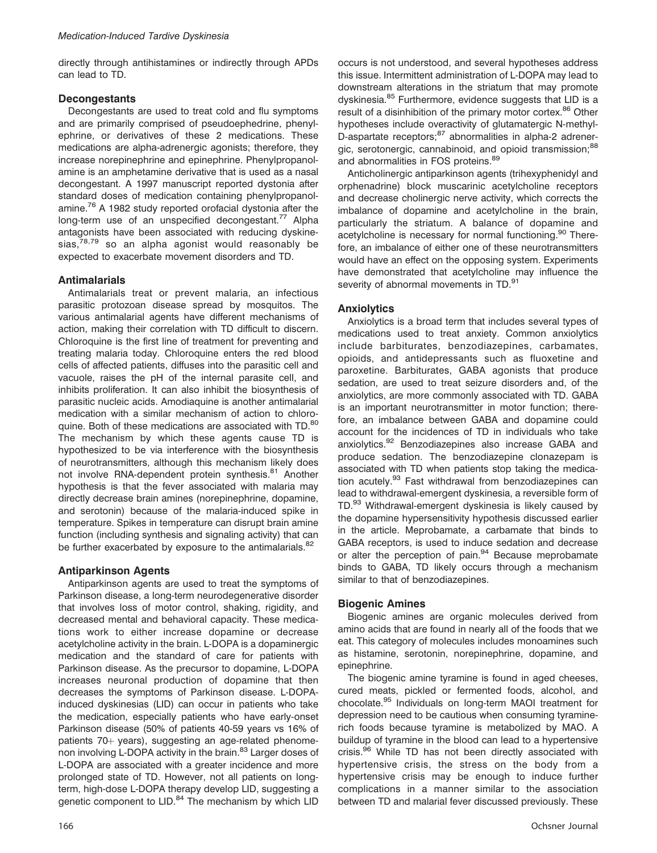directly through antihistamines or indirectly through APDs can lead to TD.

## **Decongestants**

Decongestants are used to treat cold and flu symptoms and are primarily comprised of pseudoephedrine, phenylephrine, or derivatives of these 2 medications. These medications are alpha-adrenergic agonists; therefore, they increase norepinephrine and epinephrine. Phenylpropanolamine is an amphetamine derivative that is used as a nasal decongestant. A 1997 manuscript reported dystonia after standard doses of medication containing phenylpropanolamine.<sup>76</sup> A 1982 study reported orofacial dystonia after the long-term use of an unspecified decongestant.<sup>77</sup> Alpha antagonists have been associated with reducing dyskinesias, $78,79$  so an alpha agonist would reasonably be expected to exacerbate movement disorders and TD.

## Antimalarials

Antimalarials treat or prevent malaria, an infectious parasitic protozoan disease spread by mosquitos. The various antimalarial agents have different mechanisms of action, making their correlation with TD difficult to discern. Chloroquine is the first line of treatment for preventing and treating malaria today. Chloroquine enters the red blood cells of affected patients, diffuses into the parasitic cell and vacuole, raises the pH of the internal parasite cell, and inhibits proliferation. It can also inhibit the biosynthesis of parasitic nucleic acids. Amodiaquine is another antimalarial medication with a similar mechanism of action to chloroquine. Both of these medications are associated with TD.<sup>80</sup> The mechanism by which these agents cause TD is hypothesized to be via interference with the biosynthesis of neurotransmitters, although this mechanism likely does not involve RNA-dependent protein synthesis.<sup>81</sup> Another hypothesis is that the fever associated with malaria may directly decrease brain amines (norepinephrine, dopamine, and serotonin) because of the malaria-induced spike in temperature. Spikes in temperature can disrupt brain amine function (including synthesis and signaling activity) that can be further exacerbated by exposure to the antimalarials.<sup>82</sup>

#### Antiparkinson Agents

Antiparkinson agents are used to treat the symptoms of Parkinson disease, a long-term neurodegenerative disorder that involves loss of motor control, shaking, rigidity, and decreased mental and behavioral capacity. These medications work to either increase dopamine or decrease acetylcholine activity in the brain. L-DOPA is a dopaminergic medication and the standard of care for patients with Parkinson disease. As the precursor to dopamine, L-DOPA increases neuronal production of dopamine that then decreases the symptoms of Parkinson disease. L-DOPAinduced dyskinesias (LID) can occur in patients who take the medication, especially patients who have early-onset Parkinson disease (50% of patients 40-59 years vs 16% of patients  $70+$  years), suggesting an age-related phenomenon involving L-DOPA activity in the brain.<sup>83</sup> Larger doses of L-DOPA are associated with a greater incidence and more prolonged state of TD. However, not all patients on longterm, high-dose L-DOPA therapy develop LID, suggesting a genetic component to LID.<sup>84</sup> The mechanism by which LID

occurs is not understood, and several hypotheses address this issue. Intermittent administration of L-DOPA may lead to downstream alterations in the striatum that may promote dyskinesia.<sup>85</sup> Furthermore, evidence suggests that LID is a result of a disinhibition of the primary motor cortex.<sup>86</sup> Other hypotheses include overactivity of glutamatergic N-methyl-D-aspartate receptors;<sup>87</sup> abnormalities in alpha-2 adrenergic, serotonergic, cannabinoid, and opioid transmission;<sup>88</sup> and abnormalities in FOS proteins.<sup>89</sup>

Anticholinergic antiparkinson agents (trihexyphenidyl and orphenadrine) block muscarinic acetylcholine receptors and decrease cholinergic nerve activity, which corrects the imbalance of dopamine and acetylcholine in the brain, particularly the striatum. A balance of dopamine and acetylcholine is necessary for normal functioning.<sup>90</sup> Therefore, an imbalance of either one of these neurotransmitters would have an effect on the opposing system. Experiments have demonstrated that acetylcholine may influence the severity of abnormal movements in TD.<sup>91</sup>

## **Anxiolytics**

Anxiolytics is a broad term that includes several types of medications used to treat anxiety. Common anxiolytics include barbiturates, benzodiazepines, carbamates, opioids, and antidepressants such as fluoxetine and paroxetine. Barbiturates, GABA agonists that produce sedation, are used to treat seizure disorders and, of the anxiolytics, are more commonly associated with TD. GABA is an important neurotransmitter in motor function; therefore, an imbalance between GABA and dopamine could account for the incidences of TD in individuals who take anxiolytics.<sup>92</sup> Benzodiazepines also increase GABA and produce sedation. The benzodiazepine clonazepam is associated with TD when patients stop taking the medication acutely.<sup>93</sup> Fast withdrawal from benzodiazepines can lead to withdrawal-emergent dyskinesia, a reversible form of TD.<sup>93</sup> Withdrawal-emergent dyskinesia is likely caused by the dopamine hypersensitivity hypothesis discussed earlier in the article. Meprobamate, a carbamate that binds to GABA receptors, is used to induce sedation and decrease or alter the perception of pain.<sup>94</sup> Because meprobamate binds to GABA, TD likely occurs through a mechanism similar to that of benzodiazepines.

#### Biogenic Amines

Biogenic amines are organic molecules derived from amino acids that are found in nearly all of the foods that we eat. This category of molecules includes monoamines such as histamine, serotonin, norepinephrine, dopamine, and epinephrine.

The biogenic amine tyramine is found in aged cheeses, cured meats, pickled or fermented foods, alcohol, and chocolate.<sup>95</sup> Individuals on long-term MAOI treatment for depression need to be cautious when consuming tyraminerich foods because tyramine is metabolized by MAO. A buildup of tyramine in the blood can lead to a hypertensive crisis.<sup>96</sup> While TD has not been directly associated with hypertensive crisis, the stress on the body from a hypertensive crisis may be enough to induce further complications in a manner similar to the association between TD and malarial fever discussed previously. These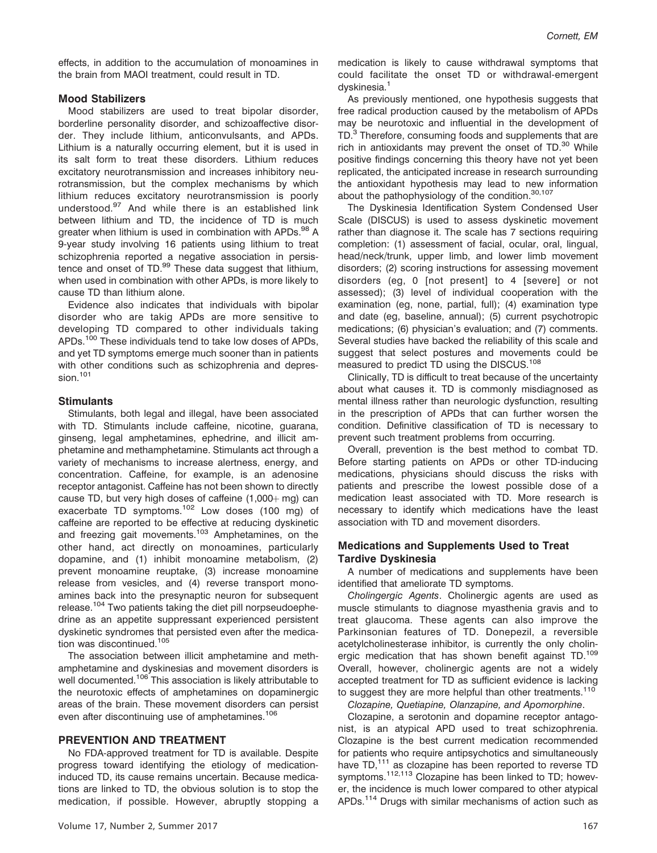effects, in addition to the accumulation of monoamines in the brain from MAOI treatment, could result in TD.

#### Mood Stabilizers

Mood stabilizers are used to treat bipolar disorder, borderline personality disorder, and schizoaffective disorder. They include lithium, anticonvulsants, and APDs. Lithium is a naturally occurring element, but it is used in its salt form to treat these disorders. Lithium reduces excitatory neurotransmission and increases inhibitory neurotransmission, but the complex mechanisms by which lithium reduces excitatory neurotransmission is poorly understood.<sup>97</sup> And while there is an established link between lithium and TD, the incidence of TD is much greater when lithium is used in combination with APDs.<sup>98</sup> A 9-year study involving 16 patients using lithium to treat schizophrenia reported a negative association in persistence and onset of  $TD<sub>.99</sub>$  These data suggest that lithium, when used in combination with other APDs, is more likely to cause TD than lithium alone.

Evidence also indicates that individuals with bipolar disorder who are takig APDs are more sensitive to developing TD compared to other individuals taking APDs.<sup>100</sup> These individuals tend to take low doses of APDs. and yet TD symptoms emerge much sooner than in patients with other conditions such as schizophrenia and depression.<sup>101</sup>

## **Stimulants**

Stimulants, both legal and illegal, have been associated with TD. Stimulants include caffeine, nicotine, guarana, ginseng, legal amphetamines, ephedrine, and illicit amphetamine and methamphetamine. Stimulants act through a variety of mechanisms to increase alertness, energy, and concentration. Caffeine, for example, is an adenosine receptor antagonist. Caffeine has not been shown to directly cause TD, but very high doses of caffeine  $(1,000 + mg)$  can exacerbate TD symptoms.<sup>102</sup> Low doses (100 mg) of caffeine are reported to be effective at reducing dyskinetic and freezing gait movements.<sup>103</sup> Amphetamines, on the other hand, act directly on monoamines, particularly dopamine, and (1) inhibit monoamine metabolism, (2) prevent monoamine reuptake, (3) increase monoamine release from vesicles, and (4) reverse transport monoamines back into the presynaptic neuron for subsequent release.<sup>104</sup> Two patients taking the diet pill norpseudoephedrine as an appetite suppressant experienced persistent dyskinetic syndromes that persisted even after the medication was discontinued.<sup>105</sup>

The association between illicit amphetamine and methamphetamine and dyskinesias and movement disorders is well documented.<sup>106</sup> This association is likely attributable to the neurotoxic effects of amphetamines on dopaminergic areas of the brain. These movement disorders can persist even after discontinuing use of amphetamines.<sup>106</sup>

## PREVENTION AND TREATMENT

No FDA-approved treatment for TD is available. Despite progress toward identifying the etiology of medicationinduced TD, its cause remains uncertain. Because medications are linked to TD, the obvious solution is to stop the medication, if possible. However, abruptly stopping a medication is likely to cause withdrawal symptoms that could facilitate the onset TD or withdrawal-emergent dyskinesia.<sup>1</sup>

As previously mentioned, one hypothesis suggests that free radical production caused by the metabolism of APDs may be neurotoxic and influential in the development of TD.<sup>3</sup> Therefore, consuming foods and supplements that are rich in antioxidants may prevent the onset of  $TD^{30}$  While positive findings concerning this theory have not yet been replicated, the anticipated increase in research surrounding the antioxidant hypothesis may lead to new information about the pathophysiology of the condition.<sup>30,107</sup>

The Dyskinesia Identification System Condensed User Scale (DISCUS) is used to assess dyskinetic movement rather than diagnose it. The scale has 7 sections requiring completion: (1) assessment of facial, ocular, oral, lingual, head/neck/trunk, upper limb, and lower limb movement disorders; (2) scoring instructions for assessing movement disorders (eg, 0 [not present] to 4 [severe] or not assessed); (3) level of individual cooperation with the examination (eg, none, partial, full); (4) examination type and date (eg, baseline, annual); (5) current psychotropic medications; (6) physician's evaluation; and (7) comments. Several studies have backed the reliability of this scale and suggest that select postures and movements could be measured to predict TD using the DISCUS.<sup>108</sup>

Clinically, TD is difficult to treat because of the uncertainty about what causes it. TD is commonly misdiagnosed as mental illness rather than neurologic dysfunction, resulting in the prescription of APDs that can further worsen the condition. Definitive classification of TD is necessary to prevent such treatment problems from occurring.

Overall, prevention is the best method to combat TD. Before starting patients on APDs or other TD-inducing medications, physicians should discuss the risks with patients and prescribe the lowest possible dose of a medication least associated with TD. More research is necessary to identify which medications have the least association with TD and movement disorders.

## Medications and Supplements Used to Treat Tardive Dyskinesia

A number of medications and supplements have been identified that ameliorate TD symptoms.

Cholingergic Agents. Cholinergic agents are used as muscle stimulants to diagnose myasthenia gravis and to treat glaucoma. These agents can also improve the Parkinsonian features of TD. Donepezil, a reversible acetylcholinesterase inhibitor, is currently the only cholinergic medication that has shown benefit against TD.<sup>109</sup> Overall, however, cholinergic agents are not a widely accepted treatment for TD as sufficient evidence is lacking to suggest they are more helpful than other treatments.<sup>110</sup>

Clozapine, Quetiapine, Olanzapine, and Apomorphine.

Clozapine, a serotonin and dopamine receptor antagonist, is an atypical APD used to treat schizophrenia. Clozapine is the best current medication recommended for patients who require antipsychotics and simultaneously have TD,<sup>111</sup> as clozapine has been reported to reverse TD symptoms.<sup>112,113</sup> Clozapine has been linked to TD; however, the incidence is much lower compared to other atypical APDs.<sup>114</sup> Drugs with similar mechanisms of action such as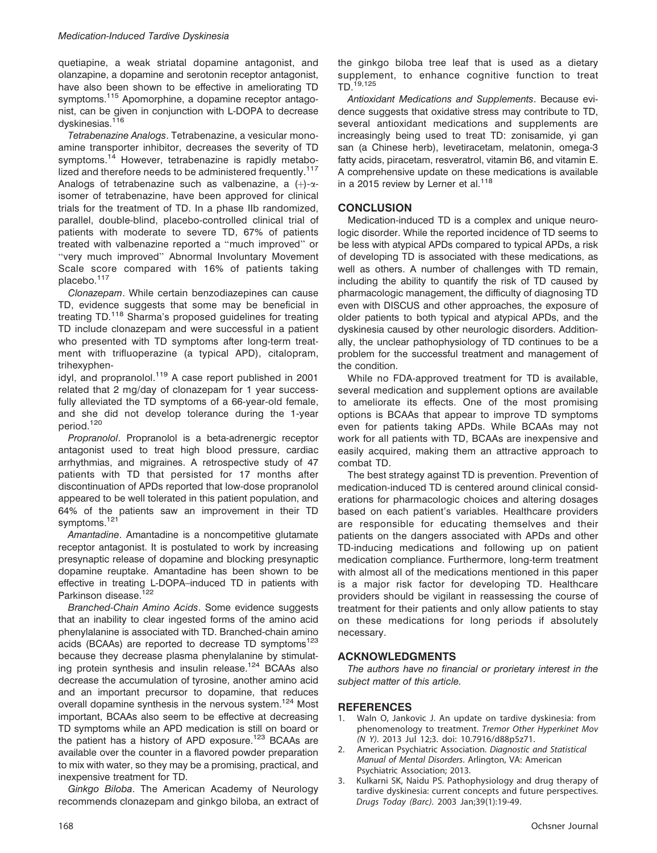quetiapine, a weak striatal dopamine antagonist, and olanzapine, a dopamine and serotonin receptor antagonist, have also been shown to be effective in ameliorating TD symptoms.<sup>115</sup> Apomorphine, a dopamine receptor antagonist, can be given in conjunction with L-DOPA to decrease dyskinesias.<sup>116</sup>

Tetrabenazine Analogs. Tetrabenazine, a vesicular monoamine transporter inhibitor, decreases the severity of TD symptoms.<sup>14</sup> However, tetrabenazine is rapidly metabolized and therefore needs to be administered frequently.<sup>117</sup> Analogs of tetrabenazine such as valbenazine, a  $(+)$ - $\alpha$ isomer of tetrabenazine, have been approved for clinical trials for the treatment of TD. In a phase IIb randomized, parallel, double-blind, placebo-controlled clinical trial of patients with moderate to severe TD, 67% of patients treated with valbenazine reported a ''much improved'' or ''very much improved'' Abnormal Involuntary Movement Scale score compared with 16% of patients taking placebo.<sup>117</sup>

Clonazepam. While certain benzodiazepines can cause TD, evidence suggests that some may be beneficial in treating TD.<sup>118</sup> Sharma's proposed guidelines for treating TD include clonazepam and were successful in a patient who presented with TD symptoms after long-term treatment with trifluoperazine (a typical APD), citalopram, trihexyphen-

idyl, and propranolol.<sup>119</sup> A case report published in 2001 related that 2 mg/day of clonazepam for 1 year successfully alleviated the TD symptoms of a 66-year-old female, and she did not develop tolerance during the 1-year period.<sup>120</sup>

Propranolol. Propranolol is a beta-adrenergic receptor antagonist used to treat high blood pressure, cardiac arrhythmias, and migraines. A retrospective study of 47 patients with TD that persisted for 17 months after discontinuation of APDs reported that low-dose propranolol appeared to be well tolerated in this patient population, and 64% of the patients saw an improvement in their TD symptoms.<sup>121</sup>

Amantadine. Amantadine is a noncompetitive glutamate receptor antagonist. It is postulated to work by increasing presynaptic release of dopamine and blocking presynaptic dopamine reuptake. Amantadine has been shown to be effective in treating L-DOPA–induced TD in patients with Parkinson disease.<sup>122</sup>

Branched-Chain Amino Acids. Some evidence suggests that an inability to clear ingested forms of the amino acid phenylalanine is associated with TD. Branched-chain amino acids (BCAAs) are reported to decrease TD symptoms<sup>123</sup> because they decrease plasma phenylalanine by stimulating protein synthesis and insulin release.<sup>124</sup> BCAAs also decrease the accumulation of tyrosine, another amino acid and an important precursor to dopamine, that reduces overall dopamine synthesis in the nervous system.<sup>124</sup> Most important, BCAAs also seem to be effective at decreasing TD symptoms while an APD medication is still on board or the patient has a history of APD exposure.<sup>123</sup> BCAAs are available over the counter in a flavored powder preparation to mix with water, so they may be a promising, practical, and inexpensive treatment for TD.

Ginkgo Biloba. The American Academy of Neurology recommends clonazepam and ginkgo biloba, an extract of the ginkgo biloba tree leaf that is used as a dietary supplement, to enhance cognitive function to treat TD.19,125

Antioxidant Medications and Supplements. Because evidence suggests that oxidative stress may contribute to TD, several antioxidant medications and supplements are increasingly being used to treat TD: zonisamide, yi gan san (a Chinese herb), levetiracetam, melatonin, omega-3 fatty acids, piracetam, resveratrol, vitamin B6, and vitamin E. A comprehensive update on these medications is available in a 2015 review by Lerner et al.<sup>118</sup>

## **CONCLUSION**

Medication-induced TD is a complex and unique neurologic disorder. While the reported incidence of TD seems to be less with atypical APDs compared to typical APDs, a risk of developing TD is associated with these medications, as well as others. A number of challenges with TD remain, including the ability to quantify the risk of TD caused by pharmacologic management, the difficulty of diagnosing TD even with DISCUS and other approaches, the exposure of older patients to both typical and atypical APDs, and the dyskinesia caused by other neurologic disorders. Additionally, the unclear pathophysiology of TD continues to be a problem for the successful treatment and management of the condition.

While no FDA-approved treatment for TD is available, several medication and supplement options are available to ameliorate its effects. One of the most promising options is BCAAs that appear to improve TD symptoms even for patients taking APDs. While BCAAs may not work for all patients with TD, BCAAs are inexpensive and easily acquired, making them an attractive approach to combat TD.

The best strategy against TD is prevention. Prevention of medication-induced TD is centered around clinical considerations for pharmacologic choices and altering dosages based on each patient's variables. Healthcare providers are responsible for educating themselves and their patients on the dangers associated with APDs and other TD-inducing medications and following up on patient medication compliance. Furthermore, long-term treatment with almost all of the medications mentioned in this paper is a major risk factor for developing TD. Healthcare providers should be vigilant in reassessing the course of treatment for their patients and only allow patients to stay on these medications for long periods if absolutely necessary.

## ACKNOWLEDGMENTS

The authors have no financial or prorietary interest in the subject matter of this article.

## **REFERENCES**

- 1. Waln O, Jankovic J. An update on tardive dyskinesia: from phenomenology to treatment. Tremor Other Hyperkinet Mov (N Y). 2013 Jul 12;3. doi: 10.7916/d88p5z71.
- 2. American Psychiatric Association. Diagnostic and Statistical Manual of Mental Disorders. Arlington, VA: American Psychiatric Association; 2013.
- 3. Kulkarni SK, Naidu PS. Pathophysiology and drug therapy of tardive dyskinesia: current concepts and future perspectives. Drugs Today (Barc). 2003 Jan;39(1):19-49.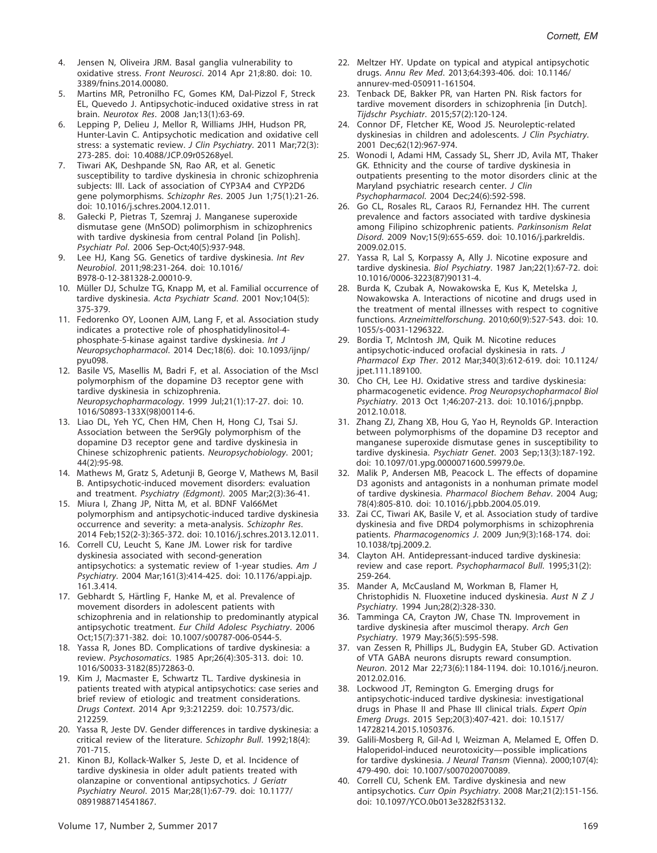- 4. Jensen N, Oliveira JRM. Basal ganglia vulnerability to oxidative stress. Front Neurosci. 2014 Apr 21;8:80. doi: 10. 3389/fnins.2014.00080.
- 5. Martins MR, Petronilho FC, Gomes KM, Dal-Pizzol F, Streck EL, Quevedo J. Antipsychotic-induced oxidative stress in rat brain. Neurotox Res. 2008 Jan;13(1):63-69.
- 6. Lepping P, Delieu J, Mellor R, Williams JHH, Hudson PR, Hunter-Lavin C. Antipsychotic medication and oxidative cell stress: a systematic review. J Clin Psychiatry. 2011 Mar;72(3): 273-285. doi: 10.4088/JCP.09r05268yel.
- 7. Tiwari AK, Deshpande SN, Rao AR, et al. Genetic susceptibility to tardive dyskinesia in chronic schizophrenia subjects: III. Lack of association of CYP3A4 and CYP2D6 gene polymorphisms. Schizophr Res. 2005 Jun 1;75(1):21-26. doi: 10.1016/j.schres.2004.12.011.
- 8. Gałecki P, Pietras T, Szemraj J. Manganese superoxide dismutase gene (MnSOD) polimorphism in schizophrenics with tardive dyskinesia from central Poland [in Polish]. Psychiatr Pol. 2006 Sep-Oct;40(5):937-948.
- 9. Lee HJ, Kang SG. Genetics of tardive dyskinesia. Int Rev Neurobiol. 2011;98:231-264. doi: 10.1016/ B978-0-12-381328-2.00010-9.
- 10. Müller DJ, Schulze TG, Knapp M, et al. Familial occurrence of tardive dyskinesia. Acta Psychiatr Scand. 2001 Nov;104(5): 375-379.
- 11. Fedorenko OY, Loonen AJM, Lang F, et al. Association study indicates a protective role of phosphatidylinositol-4 phosphate-5-kinase against tardive dyskinesia. Int J Neuropsychopharmacol. 2014 Dec;18(6). doi: 10.1093/ijnp/ pyu098.
- 12. Basile VS, Masellis M, Badri F, et al. Association of the MscI polymorphism of the dopamine D3 receptor gene with tardive dyskinesia in schizophrenia. Neuropsychopharmacology. 1999 Jul;21(1):17-27. doi: 10. 1016/S0893-133X(98)00114-6.
- 13. Liao DL, Yeh YC, Chen HM, Chen H, Hong CJ, Tsai SJ. Association between the Ser9Gly polymorphism of the dopamine D3 receptor gene and tardive dyskinesia in Chinese schizophrenic patients. Neuropsychobiology. 2001; 44(2):95-98.
- 14. Mathews M, Gratz S, Adetunji B, George V, Mathews M, Basil B. Antipsychotic-induced movement disorders: evaluation and treatment. Psychiatry (Edgmont). 2005 Mar;2(3):36-41.
- 15. Miura I, Zhang JP, Nitta M, et al. BDNF Val66Met polymorphism and antipsychotic-induced tardive dyskinesia occurrence and severity: a meta-analysis. Schizophr Res. 2014 Feb;152(2-3):365-372. doi: 10.1016/j.schres.2013.12.011.
- 16. Correll CU, Leucht S, Kane JM. Lower risk for tardive dyskinesia associated with second-generation antipsychotics: a systematic review of 1-year studies. Am J Psychiatry. 2004 Mar;161(3):414-425. doi: 10.1176/appi.ajp. 161.3.414.
- 17. Gebhardt S, Härtling F, Hanke M, et al. Prevalence of movement disorders in adolescent patients with schizophrenia and in relationship to predominantly atypical antipsychotic treatment. Eur Child Adolesc Psychiatry. 2006 Oct;15(7):371-382. doi: 10.1007/s00787-006-0544-5.
- 18. Yassa R, Jones BD. Complications of tardive dyskinesia: a review. Psychosomatics. 1985 Apr;26(4):305-313. doi: 10. 1016/S0033-3182(85)72863-0.
- 19. Kim J, Macmaster E, Schwartz TL. Tardive dyskinesia in patients treated with atypical antipsychotics: case series and brief review of etiologic and treatment considerations. Drugs Context. 2014 Apr 9;3:212259. doi: 10.7573/dic. 212259.
- 20. Yassa R, Jeste DV. Gender differences in tardive dyskinesia: a critical review of the literature. Schizophr Bull. 1992;18(4): 701-715.
- 21. Kinon BJ, Kollack-Walker S, Jeste D, et al. Incidence of tardive dyskinesia in older adult patients treated with olanzapine or conventional antipsychotics. J Geriatr Psychiatry Neurol. 2015 Mar;28(1):67-79. doi: 10.1177/ 0891988714541867.
- 22. Meltzer HY. Update on typical and atypical antipsychotic drugs. Annu Rev Med. 2013;64:393-406. doi: 10.1146/ annurev-med-050911-161504.
- 23. Tenback DE, Bakker PR, van Harten PN. Risk factors for tardive movement disorders in schizophrenia [in Dutch]. Tijdschr Psychiatr. 2015;57(2):120-124.
- 24. Connor DF, Fletcher KE, Wood JS. Neuroleptic-related dyskinesias in children and adolescents. J Clin Psychiatry. 2001 Dec;62(12):967-974.
- 25. Wonodi I, Adami HM, Cassady SL, Sherr JD, Avila MT, Thaker GK. Ethnicity and the course of tardive dyskinesia in outpatients presenting to the motor disorders clinic at the Maryland psychiatric research center. J Clin Psychopharmacol. 2004 Dec;24(6):592-598.
- 26. Go CL, Rosales RL, Caraos RJ, Fernandez HH. The current prevalence and factors associated with tardive dyskinesia among Filipino schizophrenic patients. Parkinsonism Relat Disord. 2009 Nov;15(9):655-659. doi: 10.1016/j.parkreldis. 2009.02.015.
- 27. Yassa R, Lal S, Korpassy A, Ally J. Nicotine exposure and tardive dyskinesia. Biol Psychiatry. 1987 Jan;22(1):67-72. doi: 10.1016/0006-3223(87)90131-4.
- 28. Burda K, Czubak A, Nowakowska E, Kus K, Metelska J, Nowakowska A. Interactions of nicotine and drugs used in the treatment of mental illnesses with respect to cognitive functions. Arzneimittelforschung. 2010;60(9):527-543. doi: 10. 1055/s-0031-1296322.
- 29. Bordia T, McIntosh JM, Quik M. Nicotine reduces antipsychotic-induced orofacial dyskinesia in rats. J Pharmacol Exp Ther. 2012 Mar;340(3):612-619. doi: 10.1124/ jpet.111.189100.
- 30. Cho CH, Lee HJ. Oxidative stress and tardive dyskinesia: pharmacogenetic evidence. Prog Neuropsychopharmacol Biol Psychiatry. 2013 Oct 1;46:207-213. doi: 10.1016/j.pnpbp. 2012.10.018.
- 31. Zhang ZJ, Zhang XB, Hou G, Yao H, Reynolds GP. Interaction between polymorphisms of the dopamine D3 receptor and manganese superoxide dismutase genes in susceptibility to tardive dyskinesia. Psychiatr Genet. 2003 Sep;13(3):187-192. doi: 10.1097/01.ypg.0000071600.59979.0e.
- 32. Malik P, Andersen MB, Peacock L. The effects of dopamine D3 agonists and antagonists in a nonhuman primate model of tardive dyskinesia. Pharmacol Biochem Behav. 2004 Aug; 78(4):805-810. doi: 10.1016/j.pbb.2004.05.019.
- 33. Zai CC, Tiwari AK, Basile V, et al. Association study of tardive dyskinesia and five DRD4 polymorphisms in schizophrenia patients. Pharmacogenomics J. 2009 Jun;9(3):168-174. doi: 10.1038/tpj.2009.2.
- 34. Clayton AH. Antidepressant-induced tardive dyskinesia: review and case report. Psychopharmacol Bull. 1995;31(2): 259-264.
- 35. Mander A, McCausland M, Workman B, Flamer H, Christophidis N. Fluoxetine induced dyskinesia. Aust N Z J Psychiatry. 1994 Jun;28(2):328-330.
- 36. Tamminga CA, Crayton JW, Chase TN. Improvement in tardive dyskinesia after muscimol therapy. Arch Gen Psychiatry. 1979 May;36(5):595-598.
- 37. van Zessen R, Phillips JL, Budygin EA, Stuber GD. Activation of VTA GABA neurons disrupts reward consumption. Neuron. 2012 Mar 22;73(6):1184-1194. doi: 10.1016/j.neuron. 2012.02.016.
- 38. Lockwood JT, Remington G. Emerging drugs for antipsychotic-induced tardive dyskinesia: investigational drugs in Phase II and Phase III clinical trials. Expert Opin Emerg Drugs. 2015 Sep;20(3):407-421. doi: 10.1517/ 14728214.2015.1050376.
- 39. Galili-Mosberg R, Gil-Ad I, Weizman A, Melamed E, Offen D. Haloperidol-induced neurotoxicity—possible implications for tardive dyskinesia. J Neural Transm (Vienna). 2000;107(4): 479-490. doi: 10.1007/s007020070089.
- 40. Correll CU, Schenk EM. Tardive dyskinesia and new antipsychotics. Curr Opin Psychiatry. 2008 Mar;21(2):151-156. doi: 10.1097/YCO.0b013e3282f53132.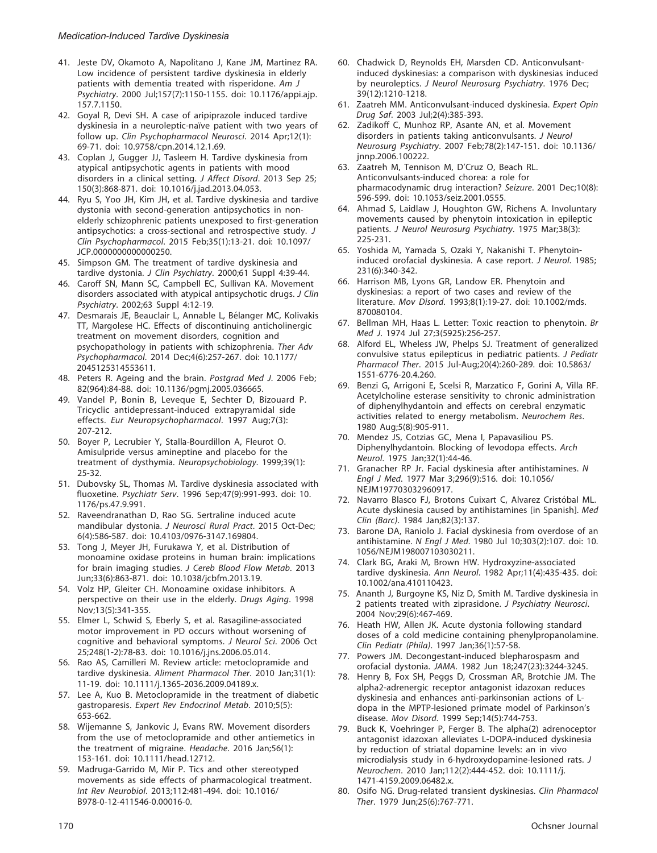- 41. Jeste DV, Okamoto A, Napolitano J, Kane JM, Martinez RA. Low incidence of persistent tardive dyskinesia in elderly patients with dementia treated with risperidone. Am J Psychiatry. 2000 Jul;157(7):1150-1155. doi: 10.1176/appi.ajp. 157.7.1150.
- 42. Goyal R, Devi SH. A case of aripiprazole induced tardive dyskinesia in a neuroleptic-naïve patient with two years of follow up. Clin Psychopharmacol Neurosci. 2014 Apr;12(1): 69-71. doi: 10.9758/cpn.2014.12.1.69.
- 43. Coplan J, Gugger JJ, Tasleem H. Tardive dyskinesia from atypical antipsychotic agents in patients with mood disorders in a clinical setting. J Affect Disord. 2013 Sep 25; 150(3):868-871. doi: 10.1016/j.jad.2013.04.053.
- 44. Ryu S, Yoo JH, Kim JH, et al. Tardive dyskinesia and tardive dystonia with second-generation antipsychotics in nonelderly schizophrenic patients unexposed to first-generation antipsychotics: a cross-sectional and retrospective study. J Clin Psychopharmacol. 2015 Feb;35(1):13-21. doi: 10.1097/ JCP.0000000000000250.
- 45. Simpson GM. The treatment of tardive dyskinesia and tardive dystonia. J Clin Psychiatry. 2000;61 Suppl 4:39-44.
- 46. Caroff SN, Mann SC, Campbell EC, Sullivan KA. Movement disorders associated with atypical antipsychotic drugs. J Clin Psychiatry. 2002;63 Suppl 4:12-19.
- 47. Desmarais JE, Beauclair L, Annable L, Bélanger MC, Kolivakis TT, Margolese HC. Effects of discontinuing anticholinergic treatment on movement disorders, cognition and psychopathology in patients with schizophrenia. Ther Adv Psychopharmacol. 2014 Dec;4(6):257-267. doi: 10.1177/ 2045125314553611.
- 48. Peters R. Ageing and the brain. Postgrad Med J. 2006 Feb; 82(964):84-88. doi: 10.1136/pgmj.2005.036665.
- 49. Vandel P, Bonin B, Leveque E, Sechter D, Bizouard P. Tricyclic antidepressant-induced extrapyramidal side effects. Eur Neuropsychopharmacol. 1997 Aug;7(3): 207-212.
- 50. Boyer P, Lecrubier Y, Stalla-Bourdillon A, Fleurot O. Amisulpride versus amineptine and placebo for the treatment of dysthymia. Neuropsychobiology. 1999;39(1): 25-32.
- 51. Dubovsky SL, Thomas M. Tardive dyskinesia associated with fluoxetine. Psychiatr Serv. 1996 Sep;47(9):991-993. doi: 10. 1176/ps.47.9.991.
- 52. Raveendranathan D, Rao SG. Sertraline induced acute mandibular dystonia. J Neurosci Rural Pract. 2015 Oct-Dec; 6(4):586-587. doi: 10.4103/0976-3147.169804.
- 53. Tong J, Meyer JH, Furukawa Y, et al. Distribution of monoamine oxidase proteins in human brain: implications for brain imaging studies. J Cereb Blood Flow Metab. 2013 Jun;33(6):863-871. doi: 10.1038/jcbfm.2013.19.
- 54. Volz HP, Gleiter CH. Monoamine oxidase inhibitors. A perspective on their use in the elderly. Drugs Aging. 1998 Nov;13(5):341-355.
- 55. Elmer L, Schwid S, Eberly S, et al. Rasagiline-associated motor improvement in PD occurs without worsening of cognitive and behavioral symptoms. J Neurol Sci. 2006 Oct 25;248(1-2):78-83. doi: 10.1016/j.jns.2006.05.014.
- 56. Rao AS, Camilleri M. Review article: metoclopramide and tardive dyskinesia. Aliment Pharmacol Ther. 2010 Jan;31(1): 11-19. doi: 10.1111/j.1365-2036.2009.04189.x.
- 57. Lee A, Kuo B. Metoclopramide in the treatment of diabetic gastroparesis. Expert Rev Endocrinol Metab. 2010;5(5): 653-662.
- 58. Wijemanne S, Jankovic J, Evans RW. Movement disorders from the use of metoclopramide and other antiemetics in the treatment of migraine. Headache. 2016 Jan;56(1): 153-161. doi: 10.1111/head.12712.
- 59. Madruga-Garrido M, Mir P. Tics and other stereotyped movements as side effects of pharmacological treatment. Int Rev Neurobiol. 2013;112:481-494. doi: 10.1016/ B978-0-12-411546-0.00016-0.
- 60. Chadwick D, Reynolds EH, Marsden CD. Anticonvulsantinduced dyskinesias: a comparison with dyskinesias induced by neuroleptics. J Neurol Neurosurg Psychiatry. 1976 Dec; 39(12):1210-1218.
- 61. Zaatreh MM. Anticonvulsant-induced dyskinesia. Expert Opin Drug Saf. 2003 Jul;2(4):385-393.
- 62. Zadikoff C, Munhoz RP, Asante AN, et al. Movement disorders in patients taking anticonvulsants. J Neurol Neurosurg Psychiatry. 2007 Feb;78(2):147-151. doi: 10.1136/ jnnp.2006.100222.
- 63. Zaatreh M, Tennison M, D'Cruz O, Beach RL. Anticonvulsants-induced chorea: a role for pharmacodynamic drug interaction? Seizure. 2001 Dec;10(8): 596-599. doi: 10.1053/seiz.2001.0555.
- 64. Ahmad S, Laidlaw J, Houghton GW, Richens A. Involuntary movements caused by phenytoin intoxication in epileptic patients. J Neurol Neurosurg Psychiatry. 1975 Mar;38(3): 225-231.
- 65. Yoshida M, Yamada S, Ozaki Y, Nakanishi T. Phenytoininduced orofacial dyskinesia. A case report. J Neurol. 1985; 231(6):340-342.
- 66. Harrison MB, Lyons GR, Landow ER. Phenytoin and dyskinesias: a report of two cases and review of the literature. Mov Disord. 1993;8(1):19-27. doi: 10.1002/mds. 870080104.
- 67. Bellman MH, Haas L. Letter: Toxic reaction to phenytoin. Br Med J. 1974 Jul 27;3(5925):256-257.
- 68. Alford EL, Wheless JW, Phelps SJ. Treatment of generalized convulsive status epilepticus in pediatric patients. J Pediatr Pharmacol Ther. 2015 Jul-Aug;20(4):260-289. doi: 10.5863/ 1551-6776-20.4.260.
- 69. Benzi G, Arrigoni E, Scelsi R, Marzatico F, Gorini A, Villa RF. Acetylcholine esterase sensitivity to chronic administration of diphenylhydantoin and effects on cerebral enzymatic activities related to energy metabolism. Neurochem Res. 1980 Aug;5(8):905-911.
- 70. Mendez JS, Cotzias GC, Mena I, Papavasiliou PS. Diphenylhydantoin. Blocking of levodopa effects. Arch Neurol. 1975 Jan;32(1):44-46.
- 71. Granacher RP Jr. Facial dyskinesia after antihistamines. N Engl J Med. 1977 Mar 3;296(9):516. doi: 10.1056/ NEJM197703032960917.
- 72. Navarro Blasco FJ, Brotons Cuixart C, Alvarez Cristóbal ML. Acute dyskinesia caused by antihistamines [in Spanish]. Med Clin (Barc). 1984 Jan;82(3):137.
- 73. Barone DA, Raniolo J. Facial dyskinesia from overdose of an antihistamine. N Engl J Med. 1980 Jul 10;303(2):107. doi: 10. 1056/NEJM198007103030211.
- 74. Clark BG, Araki M, Brown HW. Hydroxyzine-associated tardive dyskinesia. Ann Neurol. 1982 Apr;11(4):435-435. doi: 10.1002/ana.410110423.
- 75. Ananth J, Burgoyne KS, Niz D, Smith M. Tardive dyskinesia in 2 patients treated with ziprasidone. J Psychiatry Neurosci. 2004 Nov;29(6):467-469.
- 76. Heath HW, Allen JK. Acute dystonia following standard doses of a cold medicine containing phenylpropanolamine. Clin Pediatr (Phila). 1997 Jan;36(1):57-58.
- 77. Powers JM. Decongestant-induced blepharospasm and orofacial dystonia. JAMA. 1982 Jun 18;247(23):3244-3245.
- 78. Henry B, Fox SH, Peggs D, Crossman AR, Brotchie JM. The alpha2-adrenergic receptor antagonist idazoxan reduces dyskinesia and enhances anti-parkinsonian actions of Ldopa in the MPTP-lesioned primate model of Parkinson's disease. Mov Disord. 1999 Sep;14(5):744-753.
- 79. Buck K, Voehringer P, Ferger B. The alpha(2) adrenoceptor antagonist idazoxan alleviates L-DOPA-induced dyskinesia by reduction of striatal dopamine levels: an in vivo microdialysis study in 6-hydroxydopamine-lesioned rats. J Neurochem. 2010 Jan;112(2):444-452. doi: 10.1111/j. 1471-4159.2009.06482.x.
- 80. Osifo NG. Drug-related transient dyskinesias. Clin Pharmacol Ther. 1979 Jun;25(6):767-771.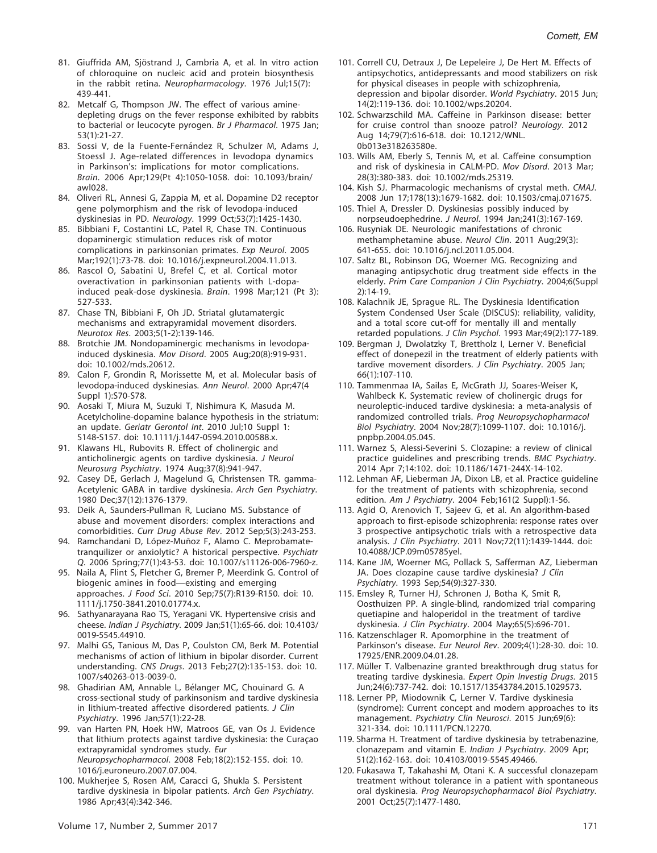- 81. Giuffrida AM, Sjöstrand J, Cambria A, et al. In vitro action of chloroquine on nucleic acid and protein biosynthesis in the rabbit retina. Neuropharmacology. 1976 Jul;15(7): 439-441.
- 82. Metcalf G, Thompson JW. The effect of various aminedepleting drugs on the fever response exhibited by rabbits to bacterial or leucocyte pyrogen. Br J Pharmacol. 1975 Jan; 53(1):21-27.
- 83. Sossi V, de la Fuente-Fernández R, Schulzer M, Adams J, Stoessl J. Age-related differences in levodopa dynamics in Parkinson's: implications for motor complications. Brain. 2006 Apr;129(Pt 4):1050-1058. doi: 10.1093/brain/ awl028.
- 84. Oliveri RL, Annesi G, Zappia M, et al. Dopamine D2 receptor gene polymorphism and the risk of levodopa-induced dyskinesias in PD. Neurology. 1999 Oct;53(7):1425-1430.
- 85. Bibbiani F, Costantini LC, Patel R, Chase TN. Continuous dopaminergic stimulation reduces risk of motor complications in parkinsonian primates. Exp Neurol. 2005 Mar;192(1):73-78. doi: 10.1016/j.expneurol.2004.11.013.
- 86. Rascol O, Sabatini U, Brefel C, et al. Cortical motor overactivation in parkinsonian patients with L-dopainduced peak-dose dyskinesia. Brain. 1998 Mar;121 (Pt 3): 527-533.
- 87. Chase TN, Bibbiani F, Oh JD. Striatal glutamatergic mechanisms and extrapyramidal movement disorders. Neurotox Res. 2003;5(1-2):139-146.
- 88. Brotchie JM. Nondopaminergic mechanisms in levodopainduced dyskinesia. Mov Disord. 2005 Aug;20(8):919-931. doi: 10.1002/mds.20612.
- 89. Calon F, Grondin R, Morissette M, et al. Molecular basis of levodopa-induced dyskinesias. Ann Neurol. 2000 Apr;47(4 Suppl 1):S70-S78.
- 90. Aosaki T, Miura M, Suzuki T, Nishimura K, Masuda M. Acetylcholine-dopamine balance hypothesis in the striatum: an update. Geriatr Gerontol Int. 2010 Jul;10 Suppl 1: S148-S157. doi: 10.1111/j.1447-0594.2010.00588.x.
- 91. Klawans HL, Rubovits R. Effect of cholinergic and anticholinergic agents on tardive dyskinesia. J Neurol Neurosurg Psychiatry. 1974 Aug;37(8):941-947.
- 92. Casey DE, Gerlach J, Magelund G, Christensen TR. gamma-Acetylenic GABA in tardive dyskinesia. Arch Gen Psychiatry. 1980 Dec;37(12):1376-1379.
- 93. Deik A, Saunders-Pullman R, Luciano MS. Substance of abuse and movement disorders: complex interactions and comorbidities. Curr Drug Abuse Rev. 2012 Sep;5(3):243-253.
- 94. Ramchandani D, López-Muñoz F, Alamo C. Meprobamatetranquilizer or anxiolytic? A historical perspective. Psychiatr Q. 2006 Spring;77(1):43-53. doi: 10.1007/s11126-006-7960-z.
- 95. Naila A, Flint S, Fletcher G, Bremer P, Meerdink G. Control of biogenic amines in food—existing and emerging approaches. J Food Sci. 2010 Sep;75(7):R139-R150. doi: 10. 1111/j.1750-3841.2010.01774.x.
- 96. Sathyanarayana Rao TS, Yeragani VK. Hypertensive crisis and cheese. Indian J Psychiatry. 2009 Jan;51(1):65-66. doi: 10.4103/ 0019-5545.44910.
- 97. Malhi GS, Tanious M, Das P, Coulston CM, Berk M. Potential mechanisms of action of lithium in bipolar disorder. Current understanding. CNS Drugs. 2013 Feb;27(2):135-153. doi: 10. 1007/s40263-013-0039-0.
- 98. Ghadirian AM, Annable L, Bélanger MC, Chouinard G. A cross-sectional study of parkinsonism and tardive dyskinesia in lithium-treated affective disordered patients. J Clin Psychiatry. 1996 Jan;57(1):22-28.
- 99. van Harten PN, Hoek HW, Matroos GE, van Os J. Evidence that lithium protects against tardive dyskinesia: the Curaçao extrapyramidal syndromes study. Eur Neuropsychopharmacol. 2008 Feb;18(2):152-155. doi: 10. 1016/j.euroneuro.2007.07.004.
- 100. Mukherjee S, Rosen AM, Caracci G, Shukla S. Persistent tardive dyskinesia in bipolar patients. Arch Gen Psychiatry. 1986 Apr;43(4):342-346.
- 101. Correll CU, Detraux J, De Lepeleire J, De Hert M. Effects of antipsychotics, antidepressants and mood stabilizers on risk for physical diseases in people with schizophrenia, depression and bipolar disorder. World Psychiatry. 2015 Jun; 14(2):119-136. doi: 10.1002/wps.20204.
- 102. Schwarzschild MA. Caffeine in Parkinson disease: better for cruise control than snooze patrol? Neurology. 2012 Aug 14;79(7):616-618. doi: 10.1212/WNL. 0b013e318263580e.
- 103. Wills AM, Eberly S, Tennis M, et al. Caffeine consumption and risk of dyskinesia in CALM-PD. Mov Disord. 2013 Mar; 28(3):380-383. doi: 10.1002/mds.25319.
- 104. Kish SJ. Pharmacologic mechanisms of crystal meth. CMAJ. 2008 Jun 17;178(13):1679-1682. doi: 10.1503/cmaj.071675.
- 105. Thiel A, Dressler D. Dyskinesias possibly induced by norpseudoephedrine. J Neurol. 1994 Jan;241(3):167-169.
- 106. Rusyniak DE. Neurologic manifestations of chronic methamphetamine abuse. Neurol Clin. 2011 Aug;29(3): 641-655. doi: 10.1016/j.ncl.2011.05.004.
- 107. Saltz BL, Robinson DG, Woerner MG. Recognizing and managing antipsychotic drug treatment side effects in the elderly. Prim Care Companion J Clin Psychiatry. 2004;6(Suppl 2):14-19.
- 108. Kalachnik JE, Sprague RL. The Dyskinesia Identification System Condensed User Scale (DISCUS): reliability, validity, and a total score cut-off for mentally ill and mentally retarded populations. J Clin Psychol. 1993 Mar;49(2):177-189.
- 109. Bergman J, Dwolatzky T, Brettholz I, Lerner V. Beneficial effect of donepezil in the treatment of elderly patients with tardive movement disorders. J Clin Psychiatry. 2005 Jan; 66(1):107-110.
- 110. Tammenmaa IA, Sailas E, McGrath JJ, Soares-Weiser K, Wahlbeck K. Systematic review of cholinergic drugs for neuroleptic-induced tardive dyskinesia: a meta-analysis of randomized controlled trials. Prog Neuropsychopharmacol Biol Psychiatry. 2004 Nov;28(7):1099-1107. doi: 10.1016/j. pnpbp.2004.05.045.
- 111. Warnez S, Alessi-Severini S. Clozapine: a review of clinical practice guidelines and prescribing trends. BMC Psychiatry. 2014 Apr 7;14:102. doi: 10.1186/1471-244X-14-102.
- 112. Lehman AF, Lieberman JA, Dixon LB, et al. Practice guideline for the treatment of patients with schizophrenia, second edition. Am J Psychiatry. 2004 Feb;161(2 Suppl):1-56.
- 113. Agid O, Arenovich T, Sajeev G, et al. An algorithm-based approach to first-episode schizophrenia: response rates over 3 prospective antipsychotic trials with a retrospective data analysis. J Clin Psychiatry. 2011 Nov;72(11):1439-1444. doi: 10.4088/JCP.09m05785yel.
- 114. Kane JM, Woerner MG, Pollack S, Safferman AZ, Lieberman JA. Does clozapine cause tardive dyskinesia? J Clin Psychiatry. 1993 Sep;54(9):327-330.
- 115. Emsley R, Turner HJ, Schronen J, Botha K, Smit R, Oosthuizen PP. A single-blind, randomized trial comparing quetiapine and haloperidol in the treatment of tardive dyskinesia. J Clin Psychiatry. 2004 May;65(5):696-701.
- 116. Katzenschlager R. Apomorphine in the treatment of Parkinson's disease. Eur Neurol Rev. 2009;4(1):28-30. doi: 10. 17925/ENR.2009.04.01.28.
- 117. Müller T. Valbenazine granted breakthrough drug status for treating tardive dyskinesia. Expert Opin Investig Drugs. 2015 Jun;24(6):737-742. doi: 10.1517/13543784.2015.1029573.
- 118. Lerner PP, Miodownik C, Lerner V. Tardive dyskinesia (syndrome): Current concept and modern approaches to its management. Psychiatry Clin Neurosci. 2015 Jun;69(6): 321-334. doi: 10.1111/PCN.12270.
- 119. Sharma H. Treatment of tardive dyskinesia by tetrabenazine, clonazepam and vitamin E. Indian J Psychiatry. 2009 Apr; 51(2):162-163. doi: 10.4103/0019-5545.49466.
- 120. Fukasawa T, Takahashi M, Otani K. A successful clonazepam treatment without tolerance in a patient with spontaneous oral dyskinesia. Prog Neuropsychopharmacol Biol Psychiatry. 2001 Oct;25(7):1477-1480.